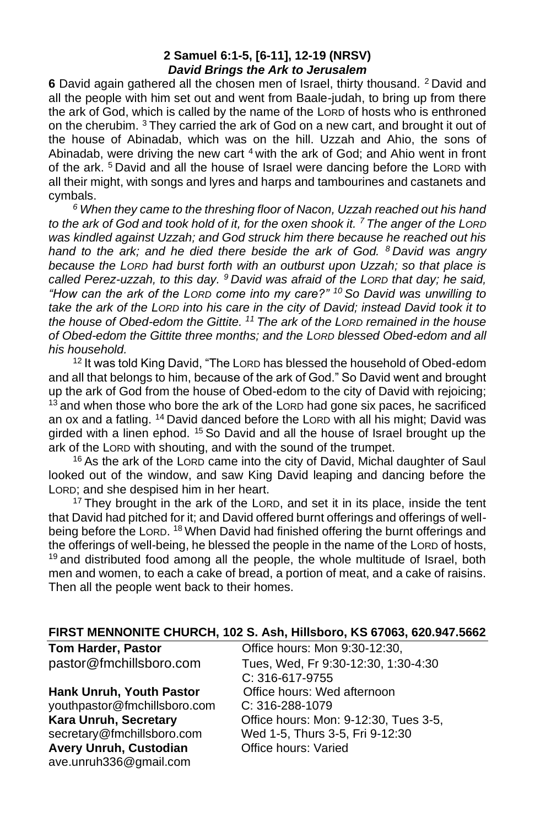#### **2 Samuel 6:1-5, [6-11], 12-19 (NRSV)** *David Brings the Ark to Jerusalem*

**6** David again gathered all the chosen men of Israel, thirty thousand. <sup>2</sup> David and all the people with him set out and went from Baale-judah, to bring up from there the ark of God, which is called by the name of the LORD of hosts who is enthroned on the cherubim. <sup>3</sup> They carried the ark of God on a new cart, and brought it out of the house of Abinadab, which was on the hill. Uzzah and Ahio, the sons of Abinadab, were driving the new cart  $4$  with the ark of God; and Ahio went in front of the ark.<sup>5</sup> David and all the house of Israel were dancing before the LORD with all their might, with songs and lyres and harps and tambourines and castanets and cymbals.

*<sup>6</sup> When they came to the threshing floor of Nacon, Uzzah reached out his hand to the ark of God and took hold of it, for the oxen shook it. <sup>7</sup> The anger of the LORD was kindled against Uzzah; and God struck him there because he reached out his hand to the ark; and he died there beside the ark of God. <sup>8</sup> David was angry because the LORD had burst forth with an outburst upon Uzzah; so that place is called Perez-uzzah, to this day. <sup>9</sup> David was afraid of the LORD that day; he said, "How can the ark of the LORD come into my care?" <sup>10</sup> So David was unwilling to take the ark of the LORD into his care in the city of David; instead David took it to the house of Obed-edom the Gittite. <sup>11</sup> The ark of the LORD remained in the house of Obed-edom the Gittite three months; and the LORD blessed Obed-edom and all his household.*

<sup>12</sup> It was told King David, "The Lorp has blessed the household of Obed-edom and all that belongs to him, because of the ark of God." So David went and brought up the ark of God from the house of Obed-edom to the city of David with rejoicing;  $13$  and when those who bore the ark of the LORD had gone six paces, he sacrificed an ox and a fatling. <sup>14</sup> David danced before the LORD with all his might; David was girded with a linen ephod. <sup>15</sup> So David and all the house of Israel brought up the ark of the LORD with shouting, and with the sound of the trumpet.

<sup>16</sup> As the ark of the LORD came into the city of David, Michal daughter of Saul looked out of the window, and saw King David leaping and dancing before the LORD; and she despised him in her heart.

 $17$  They brought in the ark of the LORD, and set it in its place, inside the tent that David had pitched for it; and David offered burnt offerings and offerings of wellbeing before the LORD. <sup>18</sup> When David had finished offering the burnt offerings and the offerings of well-being, he blessed the people in the name of the LORD of hosts,  $19$  and distributed food among all the people, the whole multitude of Israel, both men and women, to each a cake of bread, a portion of meat, and a cake of raisins. Then all the people went back to their homes.

#### **FIRST MENNONITE CHURCH, 102 S. Ash, Hillsboro, KS 67063, 620.947.5662**

| <b>Tom Harder, Pastor</b>       | Office hours: Mon 9:30-12:30,         |
|---------------------------------|---------------------------------------|
| pastor@fmchillsboro.com         | Tues, Wed, Fr 9:30-12:30, 1:30-4:30   |
|                                 | C: 316-617-9755                       |
| <b>Hank Unruh, Youth Pastor</b> | Office hours: Wed afternoon           |
| youthpastor@fmchillsboro.com    | $C: 316 - 288 - 1079$                 |
| Kara Unruh, Secretary           | Office hours: Mon: 9-12:30, Tues 3-5, |
| secretary@fmchillsboro.com      | Wed 1-5, Thurs 3-5, Fri 9-12:30       |
| Avery Unruh, Custodian          | Office hours: Varied                  |
| ave.unruh336@gmail.com          |                                       |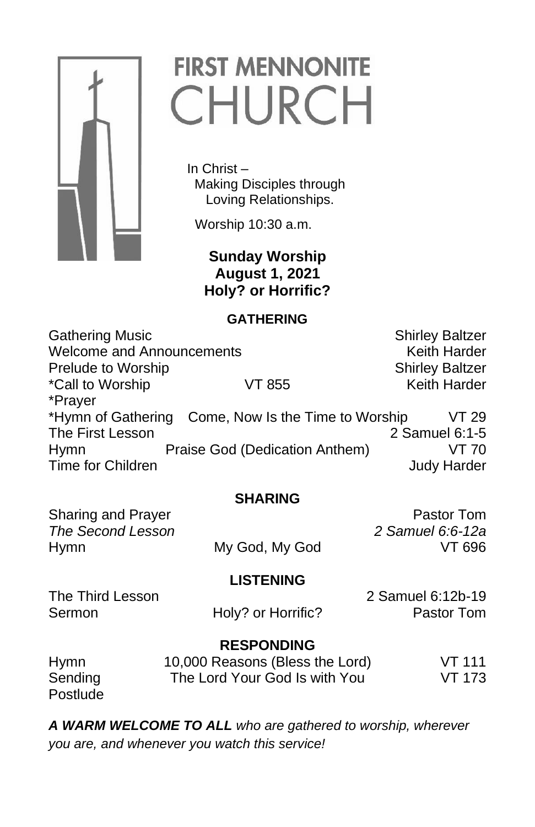

# **FIRST MENNONITE** CHURCH

 In Christ – Making Disciples through Loving Relationships.

Worship 10:30 a.m.

 **Sunday Worship August 1, 2021 Holy? or Horrific?**

### **GATHERING**

Gathering Music **Shirley Baltzer** Shirley Baltzer Welcome and Announcements **Keith Harder** Keith Harder Prelude to Worship New Shirley Baltzer \*Call to Worship **VT 855** Keith Harder \*Prayer \*Hymn of Gathering Come, Now Is the Time to Worship VT 29 The First Lesson 2 Samuel 6:1-5 Hymn Praise God (Dedication Anthem) VT 70 Time for Children **Judy Harder** Judy Harder

# **SHARING**

Sharing and Prayer **Pastor Tom** *The Second Lesson 2 Samuel 6:6-12a* Hymn My God, My God VT 696

# **LISTENING**

Sermon **Holy?** or Horrific? **Pastor Tom** 

The Third Lesson 2 Samuel 6:12b-19

#### **RESPONDING** Hymn 10,000 Reasons (Bless the Lord) VT 111 Sending The Lord Your God Is with You VT 173 **Postlude**

*A WARM WELCOME TO ALL who are gathered to worship, wherever you are, and whenever you watch this service!*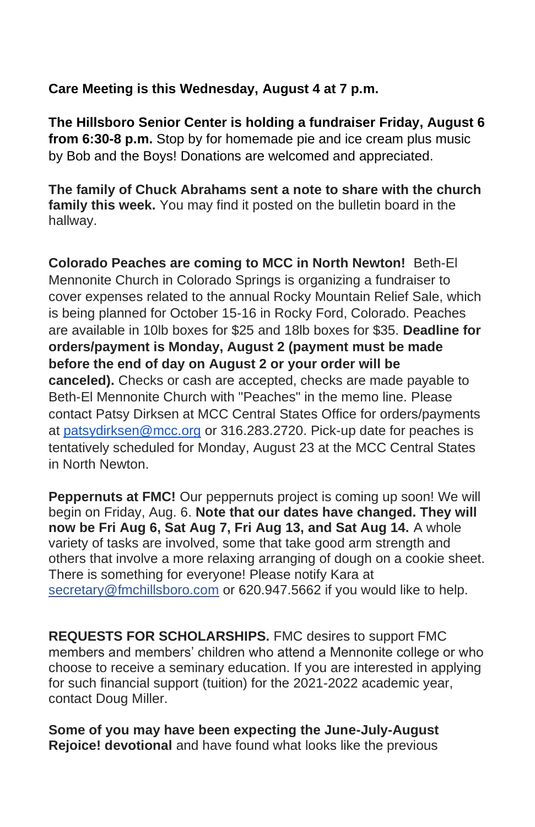## **Care Meeting is this Wednesday, August 4 at 7 p.m.**

**The Hillsboro Senior Center is holding a fundraiser Friday, August 6 from 6:30-8 p.m.** Stop by for homemade pie and ice cream plus music by Bob and the Boys! Donations are welcomed and appreciated.

**The family of Chuck Abrahams sent a note to share with the church family this week.** You may find it posted on the bulletin board in the hallway.

**Colorado Peaches are coming to MCC in North Newton!** Beth-El Mennonite Church in Colorado Springs is organizing a fundraiser to cover expenses related to the annual Rocky Mountain Relief Sale, which is being planned for October 15-16 in Rocky Ford, Colorado. Peaches are available in 10lb boxes for \$25 and 18lb boxes for \$35. **Deadline for orders/payment is Monday, August 2 (payment must be made before the end of day on August 2 or your order will be canceled).** Checks or cash are accepted, checks are made payable to Beth-El Mennonite Church with "Peaches" in the memo line. Please contact Patsy Dirksen at MCC Central States Office for orders/payments at [patsydirksen@mcc.org](mailto:patsydirksen@mcc.org) or 316.283.2720. Pick-up date for peaches is tentatively scheduled for Monday, August 23 at the MCC Central States in North Newton.

**Peppernuts at FMC!** Our peppernuts project is coming up soon! We will begin on Friday, Aug. 6. **Note that our dates have changed. They will now be Fri Aug 6, Sat Aug 7, Fri Aug 13, and Sat Aug 14.** A whole variety of tasks are involved, some that take good arm strength and others that involve a more relaxing arranging of dough on a cookie sheet. There is something for everyone! Please notify Kara at secretary@fmchillsboro.com or 620.947.5662 if you would like to help.

**REQUESTS FOR SCHOLARSHIPS.** FMC desires to support FMC members and members' children who attend a Mennonite college or who choose to receive a seminary education. If you are interested in applying for such financial support (tuition) for the 2021-2022 academic year, contact Doug Miller.

**Some of you may have been expecting the June-July-August Rejoice! devotional** and have found what looks like the previous